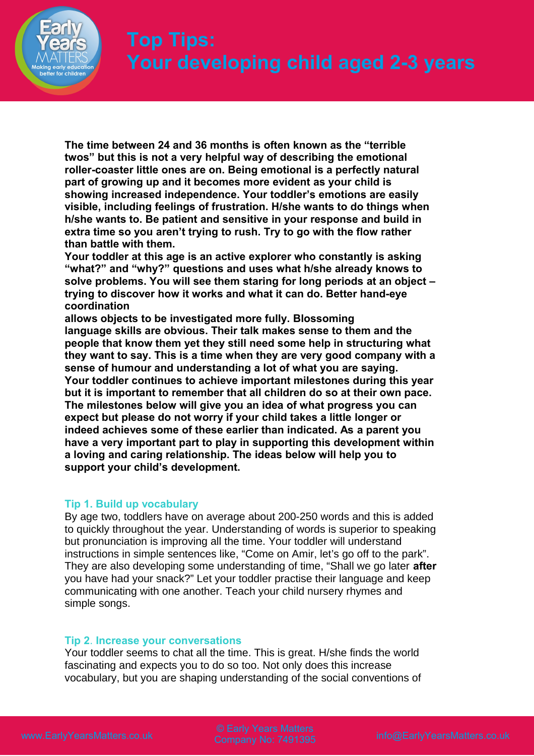

**The time between 24 and 36 months is often known as the "terrible twos" but this is not a very helpful way of describing the emotional roller-coaster little ones are on. Being emotional is a perfectly natural part of growing up and it becomes more evident as your child is showing increased independence. Your toddler's emotions are easily visible, including feelings of frustration. H/she wants to do things when h/she wants to. Be patient and sensitive in your response and build in extra time so you aren't trying to rush. Try to go with the flow rather than battle with them.**

**Your toddler at this age is an active explorer who constantly is asking "what?" and "why?" questions and uses what h/she already knows to solve problems. You will see them staring for long periods at an object – trying to discover how it works and what it can do. Better hand-eye coordination**

**allows objects to be investigated more fully. Blossoming language skills are obvious. Their talk makes sense to them and the people that know them yet they still need some help in structuring what they want to say. This is a time when they are very good company with a sense of humour and understanding a lot of what you are saying. Your toddler continues to achieve important milestones during this year but it is important to remember that all children do so at their own pace. The milestones below will give you an idea of what progress you can expect but please do not worry if your child takes a little longer or indeed achieves some of these earlier than indicated. As a parent you have a very important part to play in supporting this development within a loving and caring relationship. The ideas below will help you to support your child's development.**

# **Tip 1. Build up vocabulary**

By age two, toddlers have on average about 200-250 words and this is added to quickly throughout the year. Understanding of words is superior to speaking but pronunciation is improving all the time. Your toddler will understand instructions in simple sentences like, "Come on Amir, let's go off to the park". They are also developing some understanding of time, "Shall we go later **after** you have had your snack?" Let your toddler practise their language and keep communicating with one another. Teach your child nursery rhymes and simple songs.

# **Tip 2**. **Increase your conversations**

Your toddler seems to chat all the time. This is great. H/she finds the world fascinating and expects you to do so too. Not only does this increase vocabulary, but you are shaping understanding of the social conventions of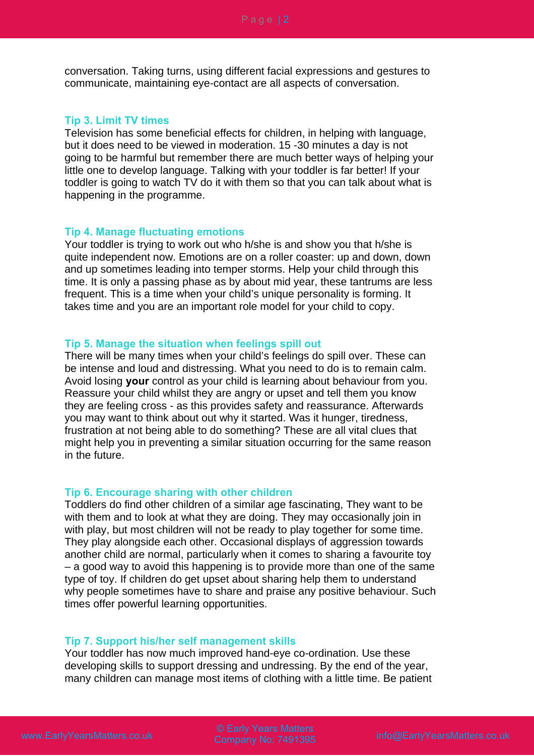conversation. Taking turns, using different facial expressions and gestures to communicate, maintaining eye-contact are all aspects of conversation.

#### **Tip 3. Limit TV times**

Television has some beneficial effects for children, in helping with language, but it does need to be viewed in moderation. 15 -30 minutes a day is not going to be harmful but remember there are much better ways of helping your little one to develop language. Talking with your toddler is far better! If your toddler is going to watch TV do it with them so that you can talk about what is happening in the programme.

## **Tip 4. Manage fluctuating emotions**

Your toddler is trying to work out who h/she is and show you that h/she is quite independent now. Emotions are on a roller coaster: up and down, down and up sometimes leading into temper storms. Help your child through this time. It is only a passing phase as by about mid year, these tantrums are less frequent. This is a time when your child's unique personality is forming. It takes time and you are an important role model for your child to copy.

## **Tip 5. Manage the situation when feelings spill out**

There will be many times when your child's feelings do spill over. These can be intense and loud and distressing. What you need to do is to remain calm. Avoid losing **your** control as your child is learning about behaviour from you. Reassure your child whilst they are angry or upset and tell them you know they are feeling cross - as this provides safety and reassurance. Afterwards you may want to think about out why it started. Was it hunger, tiredness, frustration at not being able to do something? These are all vital clues that might help you in preventing a similar situation occurring for the same reason in the future.

## **Tip 6. Encourage sharing with other children**

Toddlers do find other children of a similar age fascinating, They want to be with them and to look at what they are doing. They may occasionally join in with play, but most children will not be ready to play together for some time. They play alongside each other. Occasional displays of aggression towards another child are normal, particularly when it comes to sharing a favourite toy – a good way to avoid this happening is to provide more than one of the same type of toy. If children do get upset about sharing help them to understand why people sometimes have to share and praise any positive behaviour. Such times offer powerful learning opportunities.

#### **Tip 7. Support his/her self management skills**

Your toddler has now much improved hand-eye co-ordination. Use these developing skills to support dressing and undressing. By the end of the year, many children can manage most items of clothing with a little time. Be patient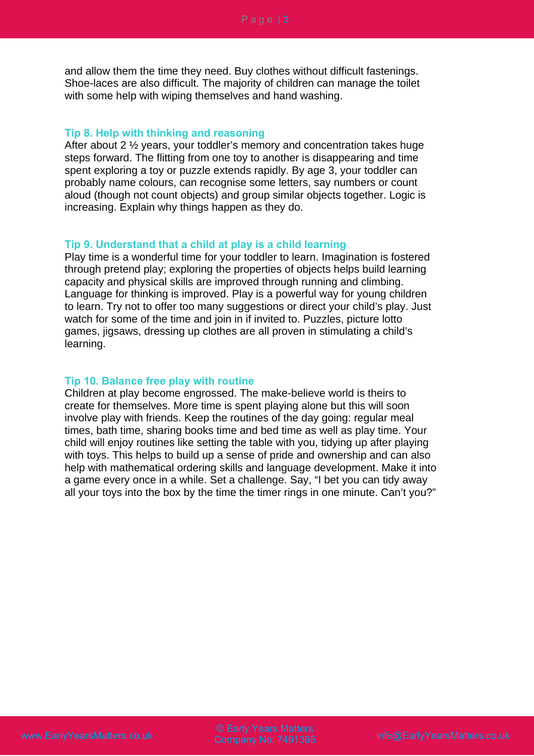and allow them the time they need. Buy clothes without difficult fastenings. Shoe-laces are also difficult. The majority of children can manage the toilet with some help with wiping themselves and hand washing.

## **Tip 8. Help with thinking and reasoning**

After about 2 ½ years, your toddler's memory and concentration takes huge steps forward. The flitting from one toy to another is disappearing and time spent exploring a toy or puzzle extends rapidly. By age 3, your toddler can probably name colours, can recognise some letters, say numbers or count aloud (though not count objects) and group similar objects together. Logic is increasing. Explain why things happen as they do.

## **Tip 9. Understand that a child at play is a child learning**

Play time is a wonderful time for your toddler to learn. Imagination is fostered through pretend play; exploring the properties of objects helps build learning capacity and physical skills are improved through running and climbing. Language for thinking is improved. Play is a powerful way for young children to learn. Try not to offer too many suggestions or direct your child's play. Just watch for some of the time and join in if invited to. Puzzles, picture lotto games, jigsaws, dressing up clothes are all proven in stimulating a child's learning.

# **Tip 10. Balance free play with routine**

Children at play become engrossed. The make-believe world is theirs to create for themselves. More time is spent playing alone but this will soon involve play with friends. Keep the routines of the day going: regular meal times, bath time, sharing books time and bed time as well as play time. Your child will enjoy routines like setting the table with you, tidying up after playing with toys. This helps to build up a sense of pride and ownership and can also help with mathematical ordering skills and language development. Make it into a game every once in a while. Set a challenge. Say, "I bet you can tidy away all your toys into the box by the time the timer rings in one minute. Can't you?"